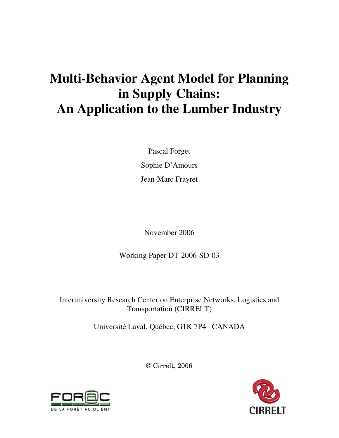# **Multi-Behavior Agent Model for Planning in Supply Chains: An Application to the Lumber Industry**

Pascal Forget Sophie D'Amours Jean-Marc Frayret

November 2006

Working Paper DT-2006-SD-03

Interuniversity Research Center on Enterprise Networks, Logistics and Transportation (CIRRELT)

Université Laval, Québec, G1K 7P4 CANADA

© Cirrelt, 2006



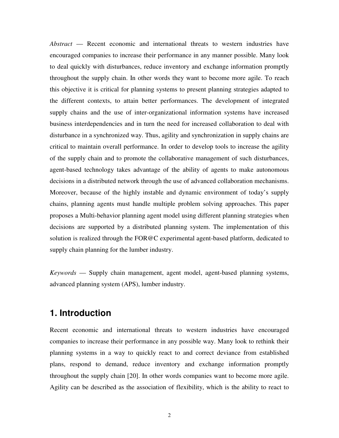*Abstract* — Recent economic and international threats to western industries have encouraged companies to increase their performance in any manner possible. Many look to deal quickly with disturbances, reduce inventory and exchange information promptly throughout the supply chain. In other words they want to become more agile. To reach this objective it is critical for planning systems to present planning strategies adapted to the different contexts, to attain better performances. The development of integrated supply chains and the use of inter-organizational information systems have increased business interdependencies and in turn the need for increased collaboration to deal with disturbance in a synchronized way. Thus, agility and synchronization in supply chains are critical to maintain overall performance. In order to develop tools to increase the agility of the supply chain and to promote the collaborative management of such disturbances, agent-based technology takes advantage of the ability of agents to make autonomous decisions in a distributed network through the use of advanced collaboration mechanisms. Moreover, because of the highly instable and dynamic environment of today's supply chains, planning agents must handle multiple problem solving approaches. This paper proposes a Multi-behavior planning agent model using different planning strategies when decisions are supported by a distributed planning system. The implementation of this solution is realized through the FOR@C experimental agent-based platform, dedicated to supply chain planning for the lumber industry.

*Keywords* — Supply chain management, agent model, agent-based planning systems, advanced planning system (APS), lumber industry.

# **1. Introduction**

Recent economic and international threats to western industries have encouraged companies to increase their performance in any possible way. Many look to rethink their planning systems in a way to quickly react to and correct deviance from established plans, respond to demand, reduce inventory and exchange information promptly throughout the supply chain [20]. In other words companies want to become more agile. Agility can be described as the association of flexibility, which is the ability to react to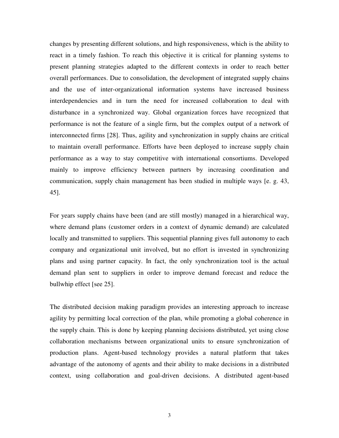changes by presenting different solutions, and high responsiveness, which is the ability to react in a timely fashion. To reach this objective it is critical for planning systems to present planning strategies adapted to the different contexts in order to reach better overall performances. Due to consolidation, the development of integrated supply chains and the use of inter-organizational information systems have increased business interdependencies and in turn the need for increased collaboration to deal with disturbance in a synchronized way. Global organization forces have recognized that performance is not the feature of a single firm, but the complex output of a network of interconnected firms [28]. Thus, agility and synchronization in supply chains are critical to maintain overall performance. Efforts have been deployed to increase supply chain performance as a way to stay competitive with international consortiums. Developed mainly to improve efficiency between partners by increasing coordination and communication, supply chain management has been studied in multiple ways [e. g. 43, 45].

For years supply chains have been (and are still mostly) managed in a hierarchical way, where demand plans (customer orders in a context of dynamic demand) are calculated locally and transmitted to suppliers. This sequential planning gives full autonomy to each company and organizational unit involved, but no effort is invested in synchronizing plans and using partner capacity. In fact, the only synchronization tool is the actual demand plan sent to suppliers in order to improve demand forecast and reduce the bullwhip effect [see 25].

The distributed decision making paradigm provides an interesting approach to increase agility by permitting local correction of the plan, while promoting a global coherence in the supply chain. This is done by keeping planning decisions distributed, yet using close collaboration mechanisms between organizational units to ensure synchronization of production plans. Agent-based technology provides a natural platform that takes advantage of the autonomy of agents and their ability to make decisions in a distributed context, using collaboration and goal-driven decisions. A distributed agent-based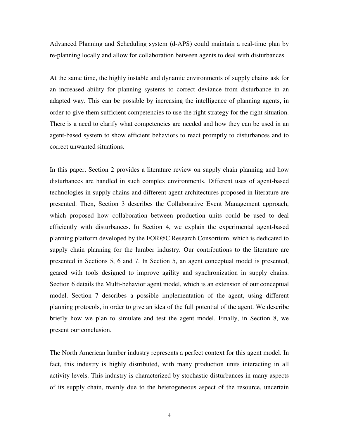Advanced Planning and Scheduling system (d-APS) could maintain a real-time plan by re-planning locally and allow for collaboration between agents to deal with disturbances.

At the same time, the highly instable and dynamic environments of supply chains ask for an increased ability for planning systems to correct deviance from disturbance in an adapted way. This can be possible by increasing the intelligence of planning agents, in order to give them sufficient competencies to use the right strategy for the right situation. There is a need to clarify what competencies are needed and how they can be used in an agent-based system to show efficient behaviors to react promptly to disturbances and to correct unwanted situations.

In this paper, Section 2 provides a literature review on supply chain planning and how disturbances are handled in such complex environments. Different uses of agent-based technologies in supply chains and different agent architectures proposed in literature are presented. Then, Section 3 describes the Collaborative Event Management approach, which proposed how collaboration between production units could be used to deal efficiently with disturbances. In Section 4, we explain the experimental agent-based planning platform developed by the FOR@C Research Consortium, which is dedicated to supply chain planning for the lumber industry. Our contributions to the literature are presented in Sections 5, 6 and 7. In Section 5, an agent conceptual model is presented, geared with tools designed to improve agility and synchronization in supply chains. Section 6 details the Multi-behavior agent model, which is an extension of our conceptual model. Section 7 describes a possible implementation of the agent, using different planning protocols, in order to give an idea of the full potential of the agent. We describe briefly how we plan to simulate and test the agent model. Finally, in Section 8, we present our conclusion.

The North American lumber industry represents a perfect context for this agent model. In fact, this industry is highly distributed, with many production units interacting in all activity levels. This industry is characterized by stochastic disturbances in many aspects of its supply chain, mainly due to the heterogeneous aspect of the resource, uncertain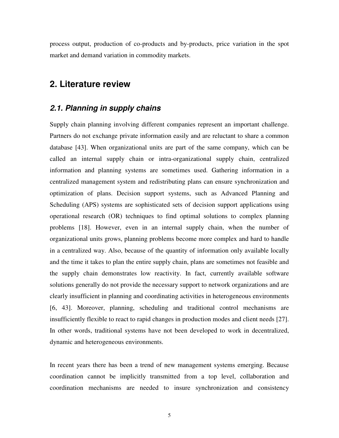process output, production of co-products and by-products, price variation in the spot market and demand variation in commodity markets.

# **2. Literature review**

### *2.1. Planning in supply chains*

Supply chain planning involving different companies represent an important challenge. Partners do not exchange private information easily and are reluctant to share a common database [43]. When organizational units are part of the same company, which can be called an internal supply chain or intra-organizational supply chain, centralized information and planning systems are sometimes used. Gathering information in a centralized management system and redistributing plans can ensure synchronization and optimization of plans. Decision support systems, such as Advanced Planning and Scheduling (APS) systems are sophisticated sets of decision support applications using operational research (OR) techniques to find optimal solutions to complex planning problems [18]. However, even in an internal supply chain, when the number of organizational units grows, planning problems become more complex and hard to handle in a centralized way. Also, because of the quantity of information only available locally and the time it takes to plan the entire supply chain, plans are sometimes not feasible and the supply chain demonstrates low reactivity. In fact, currently available software solutions generally do not provide the necessary support to network organizations and are clearly insufficient in planning and coordinating activities in heterogeneous environments [6, 43]. Moreover, planning, scheduling and traditional control mechanisms are insufficiently flexible to react to rapid changes in production modes and client needs [27]. In other words, traditional systems have not been developed to work in decentralized, dynamic and heterogeneous environments.

In recent years there has been a trend of new management systems emerging. Because coordination cannot be implicitly transmitted from a top level, collaboration and coordination mechanisms are needed to insure synchronization and consistency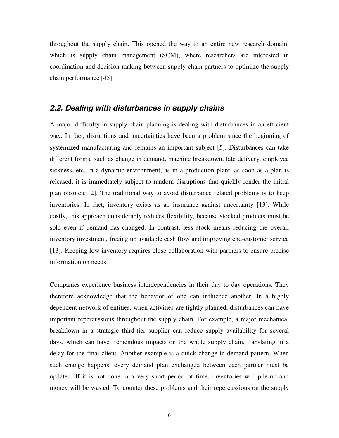throughout the supply chain. This opened the way to an entire new research domain, which is supply chain management (SCM), where researchers are interested in coordination and decision making between supply chain partners to optimize the supply chain performance [45].

### *2.2. Dealing with disturbances in supply chains*

A major difficulty in supply chain planning is dealing with disturbances in an efficient way. In fact, disruptions and uncertainties have been a problem since the beginning of systemized manufacturing and remains an important subject [5]. Disturbances can take different forms, such as change in demand, machine breakdown, late delivery, employee sickness, etc. In a dynamic environment, as in a production plant, as soon as a plan is released, it is immediately subject to random disruptions that quickly render the initial plan obsolete [2]. The traditional way to avoid disturbance related problems is to keep inventories. In fact, inventory exists as an insurance against uncertainty [13]. While costly, this approach considerably reduces flexibility, because stocked products must be sold even if demand has changed. In contrast, less stock means reducing the overall inventory investment, freeing up available cash flow and improving end-customer service [13]. Keeping low inventory requires close collaboration with partners to ensure precise information on needs.

Companies experience business interdependencies in their day to day operations. They therefore acknowledge that the behavior of one can influence another. In a highly dependent network of entities, when activities are tightly planned, disturbances can have important repercussions throughout the supply chain. For example, a major mechanical breakdown in a strategic third-tier supplier can reduce supply availability for several days, which can have tremendous impacts on the whole supply chain, translating in a delay for the final client. Another example is a quick change in demand pattern. When such change happens, every demand plan exchanged between each partner must be updated. If it is not done in a very short period of time, inventories will pile-up and money will be wasted. To counter these problems and their repercussions on the supply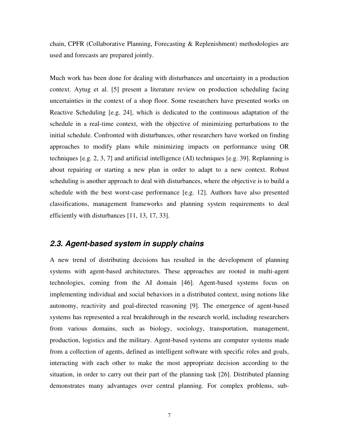chain, CPFR (Collaborative Planning, Forecasting & Replenishment) methodologies are used and forecasts are prepared jointly.

Much work has been done for dealing with disturbances and uncertainty in a production context. Aytug et al. [5] present a literature review on production scheduling facing uncertainties in the context of a shop floor. Some researchers have presented works on Reactive Scheduling [e.g. 24], which is dedicated to the continuous adaptation of the schedule in a real-time context, with the objective of minimizing perturbations to the initial schedule. Confronted with disturbances, other researchers have worked on finding approaches to modify plans while minimizing impacts on performance using OR techniques [e.g. 2, 3, 7] and artificial intelligence (AI) techniques [e.g. 39]. Replanning is about repairing or starting a new plan in order to adapt to a new context. Robust scheduling is another approach to deal with disturbances, where the objective is to build a schedule with the best worst-case performance [e.g. 12]. Authors have also presented classifications, management frameworks and planning system requirements to deal efficiently with disturbances [11, 13, 17, 33].

# *2.3. Agent-based system in supply chains*

A new trend of distributing decisions has resulted in the development of planning systems with agent-based architectures. These approaches are rooted in multi-agent technologies, coming from the AI domain [46]. Agent-based systems focus on implementing individual and social behaviors in a distributed context, using notions like autonomy, reactivity and goal-directed reasoning [9]. The emergence of agent-based systems has represented a real breakthrough in the research world, including researchers from various domains, such as biology, sociology, transportation, management, production, logistics and the military. Agent-based systems are computer systems made from a collection of agents, defined as intelligent software with specific roles and goals, interacting with each other to make the most appropriate decision according to the situation, in order to carry out their part of the planning task [26]. Distributed planning demonstrates many advantages over central planning. For complex problems, sub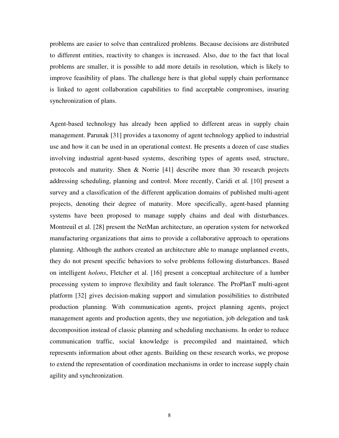problems are easier to solve than centralized problems. Because decisions are distributed to different entities, reactivity to changes is increased. Also, due to the fact that local problems are smaller, it is possible to add more details in resolution, which is likely to improve feasibility of plans. The challenge here is that global supply chain performance is linked to agent collaboration capabilities to find acceptable compromises, insuring synchronization of plans.

Agent-based technology has already been applied to different areas in supply chain management. Parunak [31] provides a taxonomy of agent technology applied to industrial use and how it can be used in an operational context. He presents a dozen of case studies involving industrial agent-based systems, describing types of agents used, structure, protocols and maturity. Shen & Norrie [41] describe more than 30 research projects addressing scheduling, planning and control. More recently, Caridi et al. [10] present a survey and a classification of the different application domains of published multi-agent projects, denoting their degree of maturity. More specifically, agent-based planning systems have been proposed to manage supply chains and deal with disturbances. Montreuil et al. [28] present the NetMan architecture, an operation system for networked manufacturing organizations that aims to provide a collaborative approach to operations planning. Although the authors created an architecture able to manage unplanned events, they do not present specific behaviors to solve problems following disturbances. Based on intelligent *holons*, Fletcher et al. [16] present a conceptual architecture of a lumber processing system to improve flexibility and fault tolerance. The ProPlanT multi-agent platform [32] gives decision-making support and simulation possibilities to distributed production planning. With communication agents, project planning agents, project management agents and production agents, they use negotiation, job delegation and task decomposition instead of classic planning and scheduling mechanisms. In order to reduce communication traffic, social knowledge is precompiled and maintained, which represents information about other agents. Building on these research works, we propose to extend the representation of coordination mechanisms in order to increase supply chain agility and synchronization.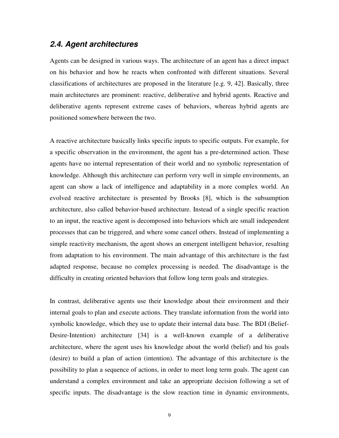### *2.4. Agent architectures*

Agents can be designed in various ways. The architecture of an agent has a direct impact on his behavior and how he reacts when confronted with different situations. Several classifications of architectures are proposed in the literature [e.g. 9, 42]. Basically, three main architectures are prominent: reactive, deliberative and hybrid agents. Reactive and deliberative agents represent extreme cases of behaviors, whereas hybrid agents are positioned somewhere between the two.

A reactive architecture basically links specific inputs to specific outputs. For example, for a specific observation in the environment, the agent has a pre-determined action. These agents have no internal representation of their world and no symbolic representation of knowledge. Although this architecture can perform very well in simple environments, an agent can show a lack of intelligence and adaptability in a more complex world. An evolved reactive architecture is presented by Brooks [8], which is the subsumption architecture, also called behavior-based architecture. Instead of a single specific reaction to an input, the reactive agent is decomposed into behaviors which are small independent processes that can be triggered, and where some cancel others. Instead of implementing a simple reactivity mechanism, the agent shows an emergent intelligent behavior, resulting from adaptation to his environment. The main advantage of this architecture is the fast adapted response, because no complex processing is needed. The disadvantage is the difficulty in creating oriented behaviors that follow long term goals and strategies.

In contrast, deliberative agents use their knowledge about their environment and their internal goals to plan and execute actions. They translate information from the world into symbolic knowledge, which they use to update their internal data base. The BDI (Belief-Desire-Intention) architecture [34] is a well-known example of a deliberative architecture, where the agent uses his knowledge about the world (belief) and his goals (desire) to build a plan of action (intention). The advantage of this architecture is the possibility to plan a sequence of actions, in order to meet long term goals. The agent can understand a complex environment and take an appropriate decision following a set of specific inputs. The disadvantage is the slow reaction time in dynamic environments,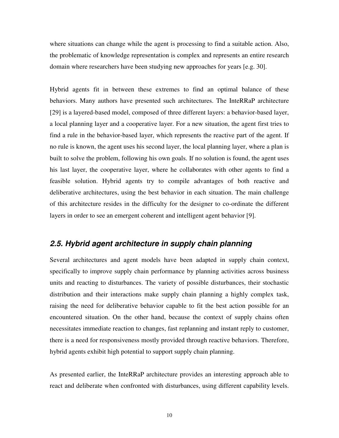where situations can change while the agent is processing to find a suitable action. Also, the problematic of knowledge representation is complex and represents an entire research domain where researchers have been studying new approaches for years [e.g. 30].

Hybrid agents fit in between these extremes to find an optimal balance of these behaviors. Many authors have presented such architectures. The InteRRaP architecture [29] is a layered-based model, composed of three different layers: a behavior-based layer, a local planning layer and a cooperative layer. For a new situation, the agent first tries to find a rule in the behavior-based layer, which represents the reactive part of the agent. If no rule is known, the agent uses his second layer, the local planning layer, where a plan is built to solve the problem, following his own goals. If no solution is found, the agent uses his last layer, the cooperative layer, where he collaborates with other agents to find a feasible solution. Hybrid agents try to compile advantages of both reactive and deliberative architectures, using the best behavior in each situation. The main challenge of this architecture resides in the difficulty for the designer to co-ordinate the different layers in order to see an emergent coherent and intelligent agent behavior [9].

### *2.5. Hybrid agent architecture in supply chain planning*

Several architectures and agent models have been adapted in supply chain context, specifically to improve supply chain performance by planning activities across business units and reacting to disturbances. The variety of possible disturbances, their stochastic distribution and their interactions make supply chain planning a highly complex task, raising the need for deliberative behavior capable to fit the best action possible for an encountered situation. On the other hand, because the context of supply chains often necessitates immediate reaction to changes, fast replanning and instant reply to customer, there is a need for responsiveness mostly provided through reactive behaviors. Therefore, hybrid agents exhibit high potential to support supply chain planning.

As presented earlier, the InteRRaP architecture provides an interesting approach able to react and deliberate when confronted with disturbances, using different capability levels.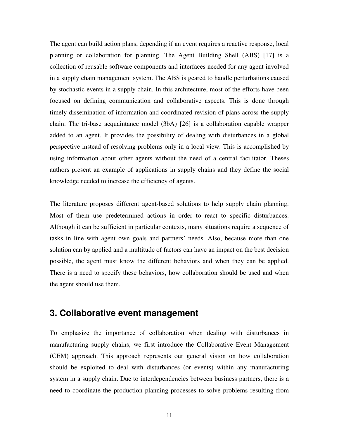The agent can build action plans, depending if an event requires a reactive response, local planning or collaboration for planning. The Agent Building Shell (ABS) [17] is a collection of reusable software components and interfaces needed for any agent involved in a supply chain management system. The ABS is geared to handle perturbations caused by stochastic events in a supply chain. In this architecture, most of the efforts have been focused on defining communication and collaborative aspects. This is done through timely dissemination of information and coordinated revision of plans across the supply chain. The tri-base acquaintance model (3bA) [26] is a collaboration capable wrapper added to an agent. It provides the possibility of dealing with disturbances in a global perspective instead of resolving problems only in a local view. This is accomplished by using information about other agents without the need of a central facilitator. Theses authors present an example of applications in supply chains and they define the social knowledge needed to increase the efficiency of agents.

The literature proposes different agent-based solutions to help supply chain planning. Most of them use predetermined actions in order to react to specific disturbances. Although it can be sufficient in particular contexts, many situations require a sequence of tasks in line with agent own goals and partners' needs. Also, because more than one solution can by applied and a multitude of factors can have an impact on the best decision possible, the agent must know the different behaviors and when they can be applied. There is a need to specify these behaviors, how collaboration should be used and when the agent should use them.

# **3. Collaborative event management**

To emphasize the importance of collaboration when dealing with disturbances in manufacturing supply chains, we first introduce the Collaborative Event Management (CEM) approach. This approach represents our general vision on how collaboration should be exploited to deal with disturbances (or events) within any manufacturing system in a supply chain. Due to interdependencies between business partners, there is a need to coordinate the production planning processes to solve problems resulting from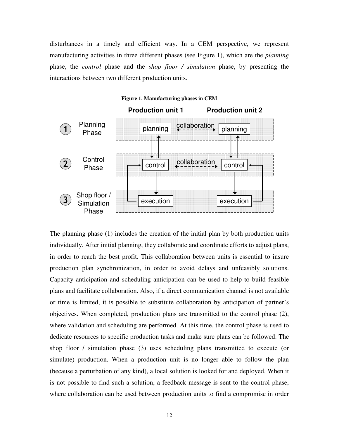disturbances in a timely and efficient way. In a CEM perspective, we represent manufacturing activities in three different phases (see Figure 1), which are the *planning* phase, the *control* phase and the *shop floor / simulation* phase, by presenting the interactions between two different production units.



The planning phase (1) includes the creation of the initial plan by both production units individually. After initial planning, they collaborate and coordinate efforts to adjust plans, in order to reach the best profit. This collaboration between units is essential to insure production plan synchronization, in order to avoid delays and unfeasibly solutions. Capacity anticipation and scheduling anticipation can be used to help to build feasible plans and facilitate collaboration. Also, if a direct communication channel is not available or time is limited, it is possible to substitute collaboration by anticipation of partner's objectives. When completed, production plans are transmitted to the control phase (2), where validation and scheduling are performed. At this time, the control phase is used to dedicate resources to specific production tasks and make sure plans can be followed. The shop floor / simulation phase (3) uses scheduling plans transmitted to execute (or simulate) production. When a production unit is no longer able to follow the plan (because a perturbation of any kind), a local solution is looked for and deployed. When it is not possible to find such a solution, a feedback message is sent to the control phase, where collaboration can be used between production units to find a compromise in order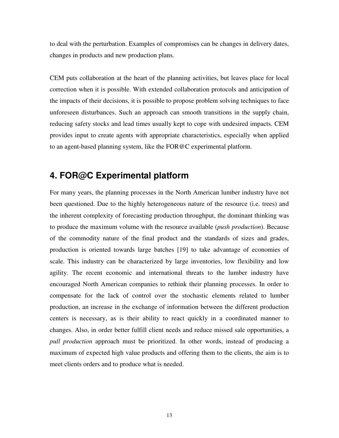to deal with the perturbation. Examples of compromises can be changes in delivery dates, changes in products and new production plans.

CEM puts collaboration at the heart of the planning activities, but leaves place for local correction when it is possible. With extended collaboration protocols and anticipation of the impacts of their decisions, it is possible to propose problem solving techniques to face unforeseen disturbances. Such an approach can smooth transitions in the supply chain, reducing safety stocks and lead times usually kept to cope with undesired impacts. CEM provides input to create agents with appropriate characteristics, especially when applied to an agent-based planning system, like the FOR@C experimental platform.

# **4. FOR@C Experimental platform**

For many years, the planning processes in the North American lumber industry have not been questioned. Due to the highly heterogeneous nature of the resource (i.e. trees) and the inherent complexity of forecasting production throughput, the dominant thinking was to produce the maximum volume with the resource available (*push production*). Because of the commodity nature of the final product and the standards of sizes and grades, production is oriented towards large batches [19] to take advantage of economies of scale. This industry can be characterized by large inventories, low flexibility and low agility. The recent economic and international threats to the lumber industry have encouraged North American companies to rethink their planning processes. In order to compensate for the lack of control over the stochastic elements related to lumber production, an increase in the exchange of information between the different production centers is necessary, as is their ability to react quickly in a coordinated manner to changes. Also, in order better fulfill client needs and reduce missed sale opportunities, a *pull production* approach must be prioritized. In other words, instead of producing a maximum of expected high value products and offering them to the clients, the aim is to meet clients orders and to produce what is needed.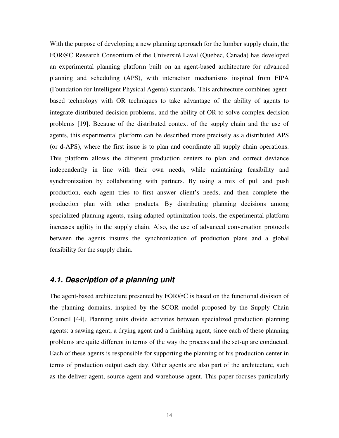With the purpose of developing a new planning approach for the lumber supply chain, the FOR@C Research Consortium of the Université Laval (Quebec, Canada) has developed an experimental planning platform built on an agent-based architecture for advanced planning and scheduling (APS), with interaction mechanisms inspired from FIPA (Foundation for Intelligent Physical Agents) standards. This architecture combines agentbased technology with OR techniques to take advantage of the ability of agents to integrate distributed decision problems, and the ability of OR to solve complex decision problems [19]. Because of the distributed context of the supply chain and the use of agents, this experimental platform can be described more precisely as a distributed APS (or d-APS), where the first issue is to plan and coordinate all supply chain operations. This platform allows the different production centers to plan and correct deviance independently in line with their own needs, while maintaining feasibility and synchronization by collaborating with partners. By using a mix of pull and push production, each agent tries to first answer client's needs, and then complete the production plan with other products. By distributing planning decisions among specialized planning agents, using adapted optimization tools, the experimental platform increases agility in the supply chain. Also, the use of advanced conversation protocols between the agents insures the synchronization of production plans and a global feasibility for the supply chain.

### *4.1. Description of a planning unit*

The agent-based architecture presented by FOR@C is based on the functional division of the planning domains, inspired by the SCOR model proposed by the Supply Chain Council [44]. Planning units divide activities between specialized production planning agents: a sawing agent, a drying agent and a finishing agent, since each of these planning problems are quite different in terms of the way the process and the set-up are conducted. Each of these agents is responsible for supporting the planning of his production center in terms of production output each day. Other agents are also part of the architecture, such as the deliver agent, source agent and warehouse agent. This paper focuses particularly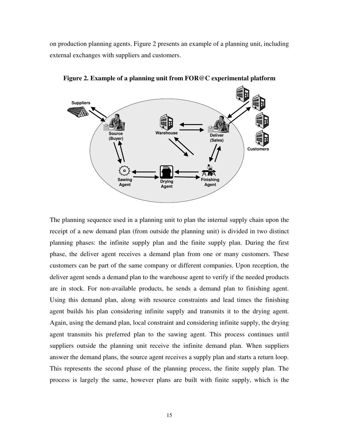on production planning agents. Figure 2 presents an example of a planning unit, including external exchanges with suppliers and customers.



**Figure 2. Example of a planning unit from FOR@C experimental platform**

The planning sequence used in a planning unit to plan the internal supply chain upon the receipt of a new demand plan (from outside the planning unit) is divided in two distinct planning phases: the infinite supply plan and the finite supply plan. During the first phase, the deliver agent receives a demand plan from one or many customers. These customers can be part of the same company or different companies. Upon reception, the deliver agent sends a demand plan to the warehouse agent to verify if the needed products are in stock. For non-available products, he sends a demand plan to finishing agent. Using this demand plan, along with resource constraints and lead times the finishing agent builds his plan considering infinite supply and transmits it to the drying agent. Again, using the demand plan, local constraint and considering infinite supply, the drying agent transmits his preferred plan to the sawing agent. This process continues until suppliers outside the planning unit receive the infinite demand plan. When suppliers answer the demand plans, the source agent receives a supply plan and starts a return loop. This represents the second phase of the planning process, the finite supply plan. The process is largely the same, however plans are built with finite supply, which is the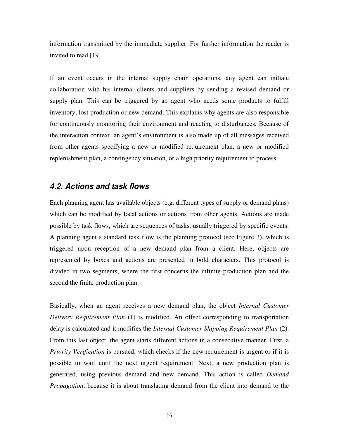information transmitted by the immediate supplier. For further information the reader is invited to read [19].

If an event occurs in the internal supply chain operations, any agent can initiate collaboration with his internal clients and suppliers by sending a revised demand or supply plan. This can be triggered by an agent who needs some products to fulfill inventory, lost production or new demand. This explains why agents are also responsible for continuously monitoring their environment and reacting to disturbances. Because of the interaction context, an agent's environment is also made up of all messages received from other agents specifying a new or modified requirement plan, a new or modified replenishment plan, a contingency situation, or a high priority requirement to process.

### *4.2. Actions and task flows*

Each planning agent has available objects (e.g. different types of supply or demand plans) which can be modified by local actions or actions from other agents. Actions are made possible by task flows, which are sequences of tasks, usually triggered by specific events. A planning agent's standard task flow is the planning protocol (see Figure 3), which is triggered upon reception of a new demand plan from a client. Here, objects are represented by boxes and actions are presented in bold characters. This protocol is divided in two segments, where the first concerns the infinite production plan and the second the finite production plan.

Basically, when an agent receives a new demand plan, the object *Internal Customer Delivery Requirement Plan* (1) is modified. An offset corresponding to transportation delay is calculated and it modifies the *Internal Customer Shipping Requirement Plan* (2). From this last object, the agent starts different actions in a consecutive manner. First, a *Priority Verification* is pursued, which checks if the new requirement is urgent or if it is possible to wait until the next urgent requirement. Next, a new production plan is generated, using previous demand and new demand. This action is called *Demand Propagation*, because it is about translating demand from the client into demand to the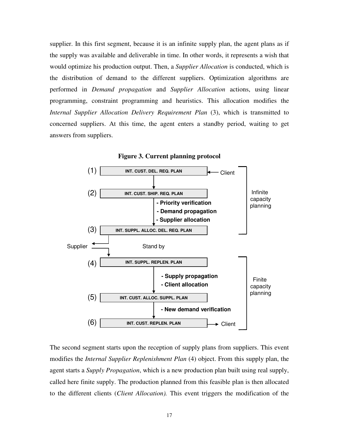supplier. In this first segment, because it is an infinite supply plan, the agent plans as if the supply was available and deliverable in time. In other words, it represents a wish that would optimize his production output. Then, a *Supplier Allocation* is conducted, which is the distribution of demand to the different suppliers. Optimization algorithms are performed in *Demand propagation* and *Supplier Allocation* actions, using linear programming, constraint programming and heuristics. This allocation modifies the *Internal Supplier Allocation Delivery Requirement Plan* (3), which is transmitted to concerned suppliers. At this time, the agent enters a standby period, waiting to get answers from suppliers.



**Figure 3. Current planning protocol**

The second segment starts upon the reception of supply plans from suppliers. This event modifies the *Internal Supplier Replenishment Plan* (4) object. From this supply plan, the agent starts a *Supply Propagation*, which is a new production plan built using real supply, called here finite supply. The production planned from this feasible plan is then allocated to the different clients (*Client Allocation).* This event triggers the modification of the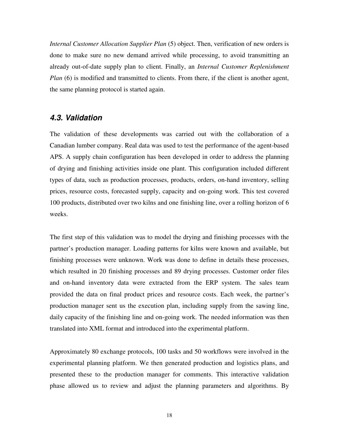*Internal Customer Allocation Supplier Plan* (5) object. Then, verification of new orders is done to make sure no new demand arrived while processing, to avoid transmitting an already out-of-date supply plan to client. Finally, an *Internal Customer Replenishment Plan* (6) is modified and transmitted to clients. From there, if the client is another agent, the same planning protocol is started again.

### *4.3. Validation*

The validation of these developments was carried out with the collaboration of a Canadian lumber company. Real data was used to test the performance of the agent-based APS. A supply chain configuration has been developed in order to address the planning of drying and finishing activities inside one plant. This configuration included different types of data, such as production processes, products, orders, on-hand inventory, selling prices, resource costs, forecasted supply, capacity and on-going work. This test covered 100 products, distributed over two kilns and one finishing line, over a rolling horizon of 6 weeks.

The first step of this validation was to model the drying and finishing processes with the partner's production manager. Loading patterns for kilns were known and available, but finishing processes were unknown. Work was done to define in details these processes, which resulted in 20 finishing processes and 89 drying processes. Customer order files and on-hand inventory data were extracted from the ERP system. The sales team provided the data on final product prices and resource costs. Each week, the partner's production manager sent us the execution plan, including supply from the sawing line, daily capacity of the finishing line and on-going work. The needed information was then translated into XML format and introduced into the experimental platform.

Approximately 80 exchange protocols, 100 tasks and 50 workflows were involved in the experimental planning platform. We then generated production and logistics plans, and presented these to the production manager for comments. This interactive validation phase allowed us to review and adjust the planning parameters and algorithms. By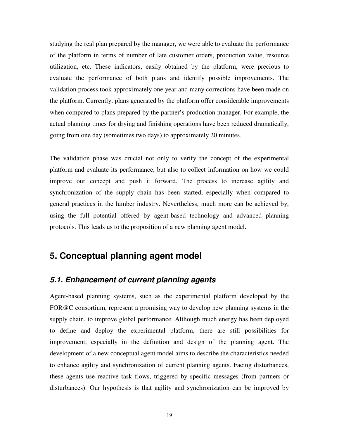studying the real plan prepared by the manager, we were able to evaluate the performance of the platform in terms of number of late customer orders, production value, resource utilization, etc. These indicators, easily obtained by the platform, were precious to evaluate the performance of both plans and identify possible improvements. The validation process took approximately one year and many corrections have been made on the platform. Currently, plans generated by the platform offer considerable improvements when compared to plans prepared by the partner's production manager. For example, the actual planning times for drying and finishing operations have been reduced dramatically, going from one day (sometimes two days) to approximately 20 minutes.

The validation phase was crucial not only to verify the concept of the experimental platform and evaluate its performance, but also to collect information on how we could improve our concept and push it forward. The process to increase agility and synchronization of the supply chain has been started, especially when compared to general practices in the lumber industry. Nevertheless, much more can be achieved by, using the full potential offered by agent-based technology and advanced planning protocols. This leads us to the proposition of a new planning agent model.

# **5. Conceptual planning agent model**

### *5.1. Enhancement of current planning agents*

Agent-based planning systems, such as the experimental platform developed by the FOR@C consortium, represent a promising way to develop new planning systems in the supply chain, to improve global performance. Although much energy has been deployed to define and deploy the experimental platform, there are still possibilities for improvement, especially in the definition and design of the planning agent. The development of a new conceptual agent model aims to describe the characteristics needed to enhance agility and synchronization of current planning agents. Facing disturbances, these agents use reactive task flows, triggered by specific messages (from partners or disturbances). Our hypothesis is that agility and synchronization can be improved by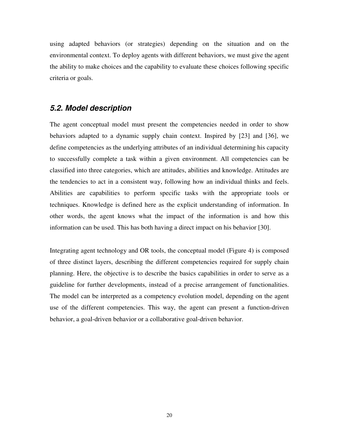using adapted behaviors (or strategies) depending on the situation and on the environmental context. To deploy agents with different behaviors, we must give the agent the ability to make choices and the capability to evaluate these choices following specific criteria or goals.

### *5.2. Model description*

The agent conceptual model must present the competencies needed in order to show behaviors adapted to a dynamic supply chain context. Inspired by [23] and [36], we define competencies as the underlying attributes of an individual determining his capacity to successfully complete a task within a given environment. All competencies can be classified into three categories, which are attitudes, abilities and knowledge. Attitudes are the tendencies to act in a consistent way, following how an individual thinks and feels. Abilities are capabilities to perform specific tasks with the appropriate tools or techniques. Knowledge is defined here as the explicit understanding of information. In other words, the agent knows what the impact of the information is and how this information can be used. This has both having a direct impact on his behavior [30].

Integrating agent technology and OR tools, the conceptual model (Figure 4) is composed of three distinct layers, describing the different competencies required for supply chain planning. Here, the objective is to describe the basics capabilities in order to serve as a guideline for further developments, instead of a precise arrangement of functionalities. The model can be interpreted as a competency evolution model, depending on the agent use of the different competencies. This way, the agent can present a function-driven behavior, a goal-driven behavior or a collaborative goal-driven behavior.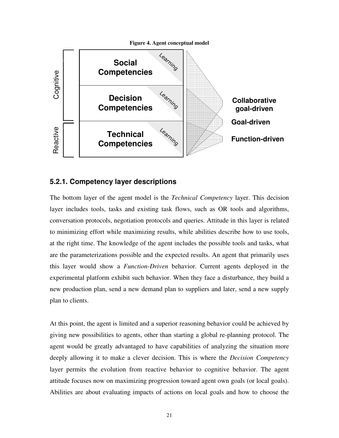

#### **5.2.1. Competency layer descriptions**

The bottom layer of the agent model is the *Technical Competency* layer. This decision layer includes tools, tasks and existing task flows, such as OR tools and algorithms, conversation protocols, negotiation protocols and queries. Attitude in this layer is related to minimizing effort while maximizing results, while abilities describe how to use tools, at the right time. The knowledge of the agent includes the possible tools and tasks, what are the parameterizations possible and the expected results. An agent that primarily uses this layer would show a *Function-Driven* behavior. Current agents deployed in the experimental platform exhibit such behavior. When they face a disturbance, they build a new production plan, send a new demand plan to suppliers and later, send a new supply plan to clients.

At this point, the agent is limited and a superior reasoning behavior could be achieved by giving new possibilities to agents, other than starting a global re-planning protocol. The agent would be greatly advantaged to have capabilities of analyzing the situation more deeply allowing it to make a clever decision. This is where the *Decision Competency* layer permits the evolution from reactive behavior to cognitive behavior. The agent attitude focuses now on maximizing progression toward agent own goals (or local goals). Abilities are about evaluating impacts of actions on local goals and how to choose the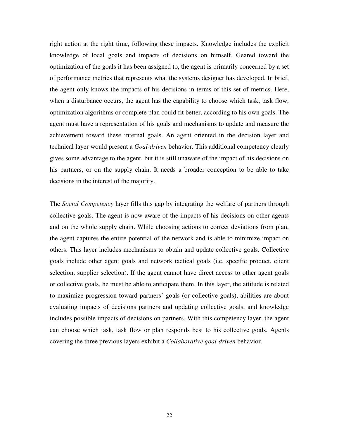right action at the right time, following these impacts. Knowledge includes the explicit knowledge of local goals and impacts of decisions on himself. Geared toward the optimization of the goals it has been assigned to, the agent is primarily concerned by a set of performance metrics that represents what the systems designer has developed. In brief, the agent only knows the impacts of his decisions in terms of this set of metrics. Here, when a disturbance occurs, the agent has the capability to choose which task, task flow, optimization algorithms or complete plan could fit better, according to his own goals. The agent must have a representation of his goals and mechanisms to update and measure the achievement toward these internal goals. An agent oriented in the decision layer and technical layer would present a *Goal-driven* behavior. This additional competency clearly gives some advantage to the agent, but it is still unaware of the impact of his decisions on his partners, or on the supply chain. It needs a broader conception to be able to take decisions in the interest of the majority.

The *Social Competency* layer fills this gap by integrating the welfare of partners through collective goals. The agent is now aware of the impacts of his decisions on other agents and on the whole supply chain. While choosing actions to correct deviations from plan, the agent captures the entire potential of the network and is able to minimize impact on others. This layer includes mechanisms to obtain and update collective goals. Collective goals include other agent goals and network tactical goals (i.e. specific product, client selection, supplier selection). If the agent cannot have direct access to other agent goals or collective goals, he must be able to anticipate them. In this layer, the attitude is related to maximize progression toward partners' goals (or collective goals), abilities are about evaluating impacts of decisions partners and updating collective goals, and knowledge includes possible impacts of decisions on partners. With this competency layer, the agent can choose which task, task flow or plan responds best to his collective goals. Agents covering the three previous layers exhibit a *Collaborative goal-driven* behavior.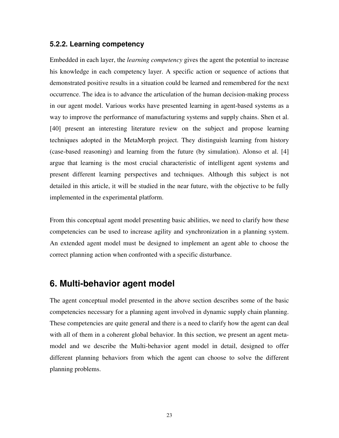#### **5.2.2. Learning competency**

Embedded in each layer, the *learning competency* gives the agent the potential to increase his knowledge in each competency layer. A specific action or sequence of actions that demonstrated positive results in a situation could be learned and remembered for the next occurrence. The idea is to advance the articulation of the human decision-making process in our agent model. Various works have presented learning in agent-based systems as a way to improve the performance of manufacturing systems and supply chains. Shen et al. [40] present an interesting literature review on the subject and propose learning techniques adopted in the MetaMorph project. They distinguish learning from history (case-based reasoning) and learning from the future (by simulation). Alonso et al. [4] argue that learning is the most crucial characteristic of intelligent agent systems and present different learning perspectives and techniques. Although this subject is not detailed in this article, it will be studied in the near future, with the objective to be fully implemented in the experimental platform.

From this conceptual agent model presenting basic abilities, we need to clarify how these competencies can be used to increase agility and synchronization in a planning system. An extended agent model must be designed to implement an agent able to choose the correct planning action when confronted with a specific disturbance.

# **6. Multi-behavior agent model**

The agent conceptual model presented in the above section describes some of the basic competencies necessary for a planning agent involved in dynamic supply chain planning. These competencies are quite general and there is a need to clarify how the agent can deal with all of them in a coherent global behavior. In this section, we present an agent metamodel and we describe the Multi-behavior agent model in detail, designed to offer different planning behaviors from which the agent can choose to solve the different planning problems.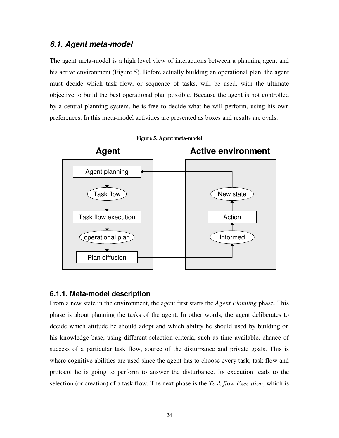### *6.1. Agent meta-model*

The agent meta-model is a high level view of interactions between a planning agent and his active environment (Figure 5). Before actually building an operational plan, the agent must decide which task flow, or sequence of tasks, will be used, with the ultimate objective to build the best operational plan possible. Because the agent is not controlled by a central planning system, he is free to decide what he will perform, using his own preferences. In this meta-model activities are presented as boxes and results are ovals.



#### **Figure 5. Agent meta-model**

#### **6.1.1. Meta-model description**

From a new state in the environment, the agent first starts the *Agent Planning* phase. This phase is about planning the tasks of the agent. In other words, the agent deliberates to decide which attitude he should adopt and which ability he should used by building on his knowledge base, using different selection criteria, such as time available, chance of success of a particular task flow, source of the disturbance and private goals. This is where cognitive abilities are used since the agent has to choose every task, task flow and protocol he is going to perform to answer the disturbance. Its execution leads to the selection (or creation) of a task flow. The next phase is the *Task flow Execution*, which is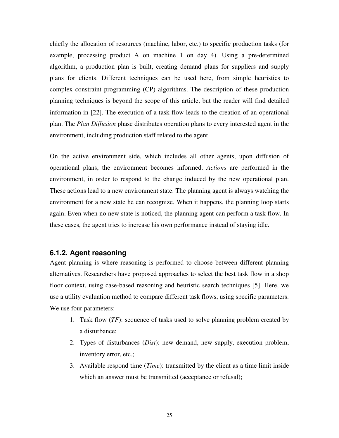chiefly the allocation of resources (machine, labor, etc.) to specific production tasks (for example, processing product A on machine 1 on day 4). Using a pre-determined algorithm, a production plan is built, creating demand plans for suppliers and supply plans for clients. Different techniques can be used here, from simple heuristics to complex constraint programming (CP) algorithms. The description of these production planning techniques is beyond the scope of this article, but the reader will find detailed information in [22]. The execution of a task flow leads to the creation of an operational plan. The *Plan Diffusion* phase distributes operation plans to every interested agent in the environment, including production staff related to the agent

On the active environment side, which includes all other agents, upon diffusion of operational plans, the environment becomes informed. *Actions* are performed in the environment, in order to respond to the change induced by the new operational plan. These actions lead to a new environment state. The planning agent is always watching the environment for a new state he can recognize. When it happens, the planning loop starts again. Even when no new state is noticed, the planning agent can perform a task flow. In these cases, the agent tries to increase his own performance instead of staying idle.

#### **6.1.2. Agent reasoning**

Agent planning is where reasoning is performed to choose between different planning alternatives. Researchers have proposed approaches to select the best task flow in a shop floor context, using case-based reasoning and heuristic search techniques [5]. Here, we use a utility evaluation method to compare different task flows, using specific parameters. We use four parameters:

- 1. Task flow (*TF*): sequence of tasks used to solve planning problem created by a disturbance;
- 2. Types of disturbances (*Dist*): new demand, new supply, execution problem, inventory error, etc.;
- 3. Available respond time (*Time*): transmitted by the client as a time limit inside which an answer must be transmitted (acceptance or refusal);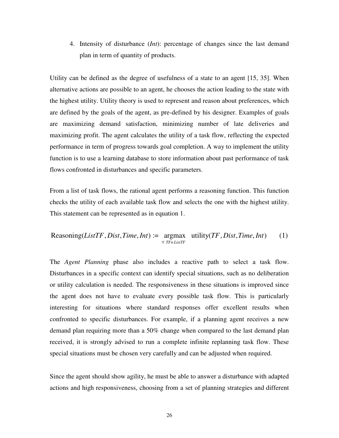4. Intensity of disturbance (*Int*): percentage of changes since the last demand plan in term of quantity of products.

Utility can be defined as the degree of usefulness of a state to an agent [15, 35]. When alternative actions are possible to an agent, he chooses the action leading to the state with the highest utility. Utility theory is used to represent and reason about preferences, which are defined by the goals of the agent, as pre-defined by his designer. Examples of goals are maximizing demand satisfaction, minimizing number of late deliveries and maximizing profit. The agent calculates the utility of a task flow, reflecting the expected performance in term of progress towards goal completion. A way to implement the utility function is to use a learning database to store information about past performance of task flows confronted in disturbances and specific parameters.

From a list of task flows, the rational agent performs a reasoning function. This function checks the utility of each available task flow and selects the one with the highest utility. This statement can be represented as in equation 1.

#### $\text{Reasoning}(ListTF, Dist, Time, Int) := \text{argmax} \text{ utility}(TF, Dist, Time, Int)$  (1) *TF ListTF* ∀ ∈

The *Agent Planning* phase also includes a reactive path to select a task flow. Disturbances in a specific context can identify special situations, such as no deliberation or utility calculation is needed. The responsiveness in these situations is improved since the agent does not have to evaluate every possible task flow. This is particularly interesting for situations where standard responses offer excellent results when confronted to specific disturbances. For example, if a planning agent receives a new demand plan requiring more than a 50% change when compared to the last demand plan received, it is strongly advised to run a complete infinite replanning task flow. These special situations must be chosen very carefully and can be adjusted when required.

Since the agent should show agility, he must be able to answer a disturbance with adapted actions and high responsiveness, choosing from a set of planning strategies and different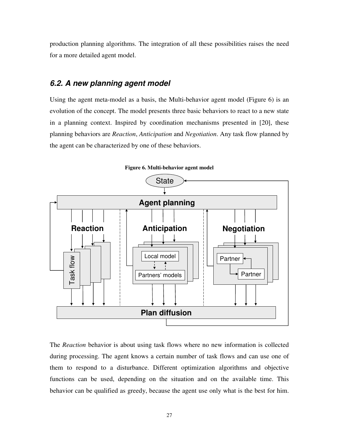production planning algorithms. The integration of all these possibilities raises the need for a more detailed agent model.

### *6.2. A new planning agent model*

Using the agent meta-model as a basis, the Multi-behavior agent model (Figure 6) is an evolution of the concept. The model presents three basic behaviors to react to a new state in a planning context. Inspired by coordination mechanisms presented in [20], these planning behaviors are *Reaction*, *Anticipation* and *Negotiation*. Any task flow planned by the agent can be characterized by one of these behaviors.



The *Reaction* behavior is about using task flows where no new information is collected during processing. The agent knows a certain number of task flows and can use one of them to respond to a disturbance. Different optimization algorithms and objective functions can be used, depending on the situation and on the available time. This behavior can be qualified as greedy, because the agent use only what is the best for him.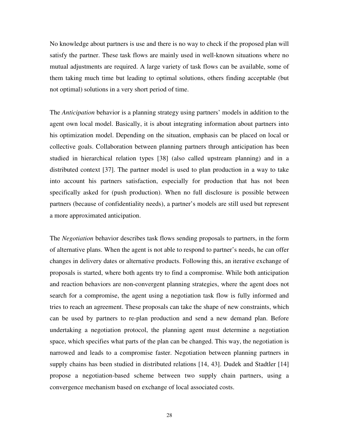No knowledge about partners is use and there is no way to check if the proposed plan will satisfy the partner. These task flows are mainly used in well-known situations where no mutual adjustments are required. A large variety of task flows can be available, some of them taking much time but leading to optimal solutions, others finding acceptable (but not optimal) solutions in a very short period of time.

The *Anticipation* behavior is a planning strategy using partners' models in addition to the agent own local model. Basically, it is about integrating information about partners into his optimization model. Depending on the situation, emphasis can be placed on local or collective goals. Collaboration between planning partners through anticipation has been studied in hierarchical relation types [38] (also called upstream planning) and in a distributed context [37]. The partner model is used to plan production in a way to take into account his partners satisfaction, especially for production that has not been specifically asked for (push production). When no full disclosure is possible between partners (because of confidentiality needs), a partner's models are still used but represent a more approximated anticipation.

The *Negotiation* behavior describes task flows sending proposals to partners, in the form of alternative plans. When the agent is not able to respond to partner's needs, he can offer changes in delivery dates or alternative products. Following this, an iterative exchange of proposals is started, where both agents try to find a compromise. While both anticipation and reaction behaviors are non-convergent planning strategies, where the agent does not search for a compromise, the agent using a negotiation task flow is fully informed and tries to reach an agreement. These proposals can take the shape of new constraints, which can be used by partners to re-plan production and send a new demand plan. Before undertaking a negotiation protocol, the planning agent must determine a negotiation space, which specifies what parts of the plan can be changed. This way, the negotiation is narrowed and leads to a compromise faster. Negotiation between planning partners in supply chains has been studied in distributed relations [14, 43]. Dudek and Stadtler [14] propose a negotiation-based scheme between two supply chain partners, using a convergence mechanism based on exchange of local associated costs.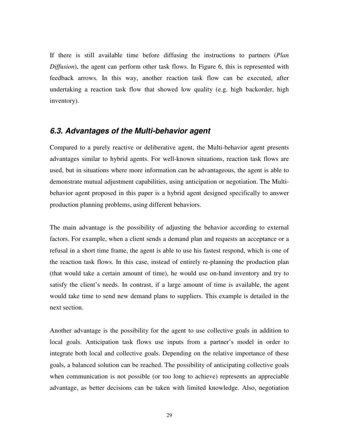If there is still available time before diffusing the instructions to partners (*Plan Diffusion*), the agent can perform other task flows. In Figure 6, this is represented with feedback arrows. In this way, another reaction task flow can be executed, after undertaking a reaction task flow that showed low quality (e.g. high backorder, high inventory).

### *6.3. Advantages of the Multi-behavior agent*

Compared to a purely reactive or deliberative agent, the Multi-behavior agent presents advantages similar to hybrid agents. For well-known situations, reaction task flows are used, but in situations where more information can be advantageous, the agent is able to demonstrate mutual adjustment capabilities, using anticipation or negotiation. The Multibehavior agent proposed in this paper is a hybrid agent designed specifically to answer production planning problems, using different behaviors.

The main advantage is the possibility of adjusting the behavior according to external factors. For example, when a client sends a demand plan and requests an acceptance or a refusal in a short time frame, the agent is able to use his fastest respond, which is one of the reaction task flows. In this case, instead of entirely re-planning the production plan (that would take a certain amount of time), he would use on-hand inventory and try to satisfy the client's needs. In contrast, if a large amount of time is available, the agent would take time to send new demand plans to suppliers. This example is detailed in the next section.

Another advantage is the possibility for the agent to use collective goals in addition to local goals. Anticipation task flows use inputs from a partner's model in order to integrate both local and collective goals. Depending on the relative importance of these goals, a balanced solution can be reached. The possibility of anticipating collective goals when communication is not possible (or too long to achieve) represents an appreciable advantage, as better decisions can be taken with limited knowledge. Also, negotiation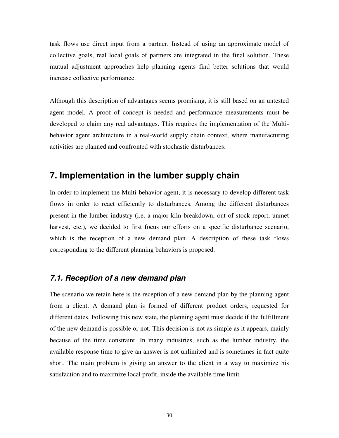task flows use direct input from a partner. Instead of using an approximate model of collective goals, real local goals of partners are integrated in the final solution. These mutual adjustment approaches help planning agents find better solutions that would increase collective performance.

Although this description of advantages seems promising, it is still based on an untested agent model. A proof of concept is needed and performance measurements must be developed to claim any real advantages. This requires the implementation of the Multibehavior agent architecture in a real-world supply chain context, where manufacturing activities are planned and confronted with stochastic disturbances.

# **7. Implementation in the lumber supply chain**

In order to implement the Multi-behavior agent, it is necessary to develop different task flows in order to react efficiently to disturbances. Among the different disturbances present in the lumber industry (i.e. a major kiln breakdown, out of stock report, unmet harvest, etc.), we decided to first focus our efforts on a specific disturbance scenario, which is the reception of a new demand plan. A description of these task flows corresponding to the different planning behaviors is proposed.

### *7.1. Reception of a new demand plan*

The scenario we retain here is the reception of a new demand plan by the planning agent from a client. A demand plan is formed of different product orders, requested for different dates. Following this new state, the planning agent must decide if the fulfillment of the new demand is possible or not. This decision is not as simple as it appears, mainly because of the time constraint. In many industries, such as the lumber industry, the available response time to give an answer is not unlimited and is sometimes in fact quite short. The main problem is giving an answer to the client in a way to maximize his satisfaction and to maximize local profit, inside the available time limit.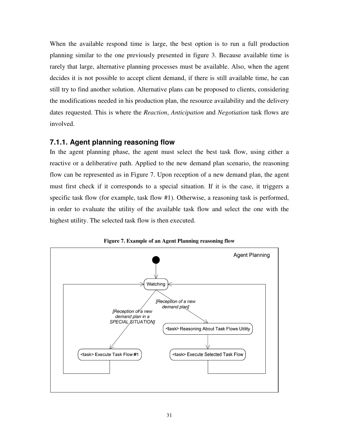When the available respond time is large, the best option is to run a full production planning similar to the one previously presented in figure 3. Because available time is rarely that large, alternative planning processes must be available. Also, when the agent decides it is not possible to accept client demand, if there is still available time, he can still try to find another solution. Alternative plans can be proposed to clients, considering the modifications needed in his production plan, the resource availability and the delivery dates requested. This is where the *Reaction*, *Anticipation* and *Negotiation* task flows are involved.

### **7.1.1. Agent planning reasoning flow**

In the agent planning phase, the agent must select the best task flow, using either a reactive or a deliberative path. Applied to the new demand plan scenario, the reasoning flow can be represented as in Figure 7. Upon reception of a new demand plan, the agent must first check if it corresponds to a special situation. If it is the case, it triggers a specific task flow (for example, task flow #1). Otherwise, a reasoning task is performed, in order to evaluate the utility of the available task flow and select the one with the highest utility. The selected task flow is then executed.



**Figure 7. Example of an Agent Planning reasoning flow**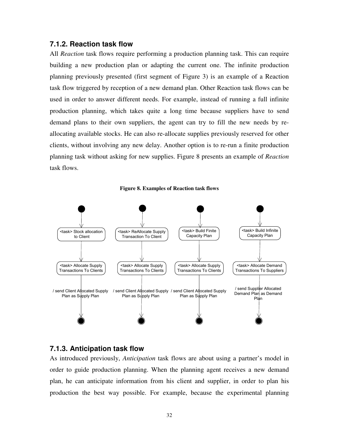#### **7.1.2. Reaction task flow**

All *Reaction* task flows require performing a production planning task. This can require building a new production plan or adapting the current one. The infinite production planning previously presented (first segment of Figure 3) is an example of a Reaction task flow triggered by reception of a new demand plan. Other Reaction task flows can be used in order to answer different needs. For example, instead of running a full infinite production planning, which takes quite a long time because suppliers have to send demand plans to their own suppliers, the agent can try to fill the new needs by reallocating available stocks. He can also re-allocate supplies previously reserved for other clients, without involving any new delay. Another option is to re-run a finite production planning task without asking for new supplies. Figure 8 presents an example of *Reaction* task flows.





### **7.1.3. Anticipation task flow**

As introduced previously, *Anticipation* task flows are about using a partner's model in order to guide production planning. When the planning agent receives a new demand plan, he can anticipate information from his client and supplier, in order to plan his production the best way possible. For example, because the experimental planning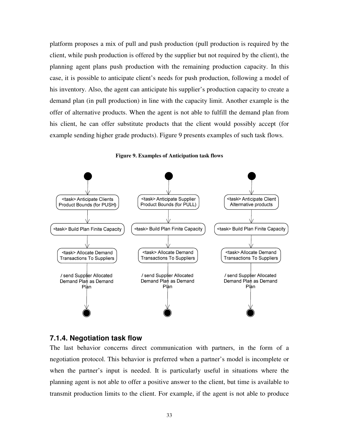platform proposes a mix of pull and push production (pull production is required by the client, while push production is offered by the supplier but not required by the client), the planning agent plans push production with the remaining production capacity. In this case, it is possible to anticipate client's needs for push production, following a model of his inventory. Also, the agent can anticipate his supplier's production capacity to create a demand plan (in pull production) in line with the capacity limit. Another example is the offer of alternative products. When the agent is not able to fulfill the demand plan from his client, he can offer substitute products that the client would possibly accept (for example sending higher grade products). Figure 9 presents examples of such task flows.





#### **7.1.4. Negotiation task flow**

The last behavior concerns direct communication with partners, in the form of a negotiation protocol. This behavior is preferred when a partner's model is incomplete or when the partner's input is needed. It is particularly useful in situations where the planning agent is not able to offer a positive answer to the client, but time is available to transmit production limits to the client. For example, if the agent is not able to produce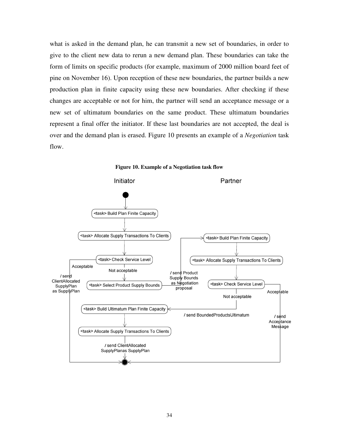what is asked in the demand plan, he can transmit a new set of boundaries, in order to give to the client new data to rerun a new demand plan. These boundaries can take the form of limits on specific products (for example, maximum of 2000 million board feet of pine on November 16). Upon reception of these new boundaries, the partner builds a new production plan in finite capacity using these new boundaries. After checking if these changes are acceptable or not for him, the partner will send an acceptance message or a new set of ultimatum boundaries on the same product. These ultimatum boundaries represent a final offer the initiator. If these last boundaries are not accepted, the deal is over and the demand plan is erased. Figure 10 presents an example of a *Negotiation* task flow.



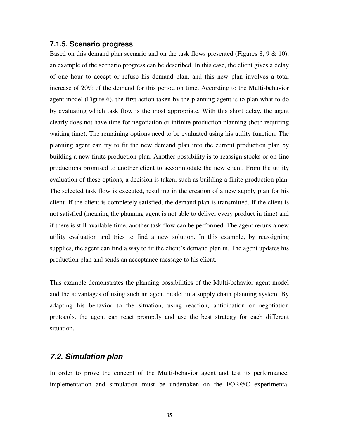#### **7.1.5. Scenario progress**

Based on this demand plan scenario and on the task flows presented (Figures  $8, 9, \& 10$ ), an example of the scenario progress can be described. In this case, the client gives a delay of one hour to accept or refuse his demand plan, and this new plan involves a total increase of 20% of the demand for this period on time. According to the Multi-behavior agent model (Figure 6), the first action taken by the planning agent is to plan what to do by evaluating which task flow is the most appropriate. With this short delay, the agent clearly does not have time for negotiation or infinite production planning (both requiring waiting time). The remaining options need to be evaluated using his utility function. The planning agent can try to fit the new demand plan into the current production plan by building a new finite production plan. Another possibility is to reassign stocks or on-line productions promised to another client to accommodate the new client. From the utility evaluation of these options, a decision is taken, such as building a finite production plan. The selected task flow is executed, resulting in the creation of a new supply plan for his client. If the client is completely satisfied, the demand plan is transmitted. If the client is not satisfied (meaning the planning agent is not able to deliver every product in time) and if there is still available time, another task flow can be performed. The agent reruns a new utility evaluation and tries to find a new solution. In this example, by reassigning supplies, the agent can find a way to fit the client's demand plan in. The agent updates his production plan and sends an acceptance message to his client.

This example demonstrates the planning possibilities of the Multi-behavior agent model and the advantages of using such an agent model in a supply chain planning system. By adapting his behavior to the situation, using reaction, anticipation or negotiation protocols, the agent can react promptly and use the best strategy for each different situation.

### *7.2. Simulation plan*

In order to prove the concept of the Multi-behavior agent and test its performance, implementation and simulation must be undertaken on the FOR@C experimental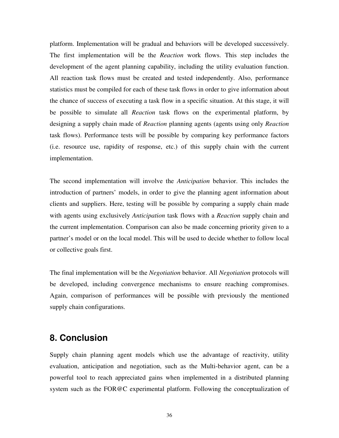platform. Implementation will be gradual and behaviors will be developed successively. The first implementation will be the *Reaction* work flows. This step includes the development of the agent planning capability, including the utility evaluation function. All reaction task flows must be created and tested independently. Also, performance statistics must be compiled for each of these task flows in order to give information about the chance of success of executing a task flow in a specific situation. At this stage, it will be possible to simulate all *Reaction* task flows on the experimental platform, by designing a supply chain made of *Reaction* planning agents (agents using only *Reaction* task flows). Performance tests will be possible by comparing key performance factors (i.e. resource use, rapidity of response, etc.) of this supply chain with the current implementation.

The second implementation will involve the *Anticipation* behavior. This includes the introduction of partners' models, in order to give the planning agent information about clients and suppliers. Here, testing will be possible by comparing a supply chain made with agents using exclusively *Anticipation* task flows with a *Reaction* supply chain and the current implementation. Comparison can also be made concerning priority given to a partner's model or on the local model. This will be used to decide whether to follow local or collective goals first.

The final implementation will be the *Negotiation* behavior. All *Negotiation* protocols will be developed, including convergence mechanisms to ensure reaching compromises. Again, comparison of performances will be possible with previously the mentioned supply chain configurations.

# **8. Conclusion**

Supply chain planning agent models which use the advantage of reactivity, utility evaluation, anticipation and negotiation, such as the Multi-behavior agent, can be a powerful tool to reach appreciated gains when implemented in a distributed planning system such as the FOR@C experimental platform. Following the conceptualization of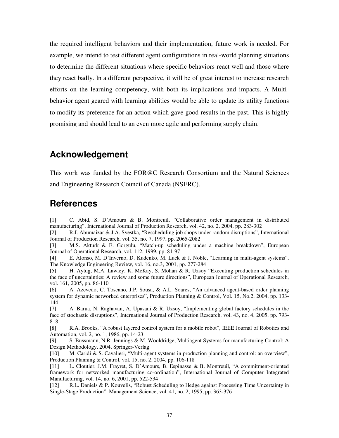the required intelligent behaviors and their implementation, future work is needed. For example, we intend to test different agent configurations in real-world planning situations to determine the different situations where specific behaviors react well and those where they react badly. In a different perspective, it will be of great interest to increase research efforts on the learning competency, with both its implications and impacts. A Multibehavior agent geared with learning abilities would be able to update its utility functions to modify its preference for an action which gave good results in the past. This is highly promising and should lead to an even more agile and performing supply chain.

# **Acknowledgement**

This work was funded by the FOR@C Research Consortium and the Natural Sciences and Engineering Research Council of Canada (NSERC).

# **References**

[1] C. Abid, S. D'Amours & B. Montreuil, "Collaborative order management in distributed manufacturing", International Journal of Production Research, vol. 42, no. 2, 2004, pp. 283-302

[2] R.J. Abumaizar & J.A. Svestka, "Rescheduling job shops under random disruptions", International Journal of Production Research, vol. 35, no. 7, 1997, pp. 2065-2082

[3] M.S. Akturk & E. Gorgulu, "Match-up scheduling under a machine breakdown", European Journal of Operational Research, vol. 112, 1999, pp. 81-97

[4] E. Alonso, M. D'Inverno, D. Kudenko, M. Luck & J. Noble, "Learning in multi-agent systems", The Knowledge Engineering Review, vol. 16, no.3, 2001, pp. 277-284

[5] H. Aytug, M.A. Lawley, K. McKay, S. Mohan & R. Uzsoy "Executing production schedules in the face of uncertainties: A review and some future directions", European Journal of Operational Research, vol. 161, 2005, pp. 86-110

[6] A. Azevedo, C. Toscano, J.P. Sousa, & A.L. Soares, "An advanced agent-based order planning system for dynamic networked enterprises", Production Planning & Control, Vol. 15, No.2, 2004, pp. 133- 144

[7] A. Barua, N. Raghavan, A. Upasani & R. Uzsoy, "Implementing global factory schedules in the face of stochastic disruptions", International Journal of Production Research, vol. 43, no. 4, 2005, pp. 793- 818

[8] R.A. Brooks, "A robust layered control system for a mobile robot", IEEE Journal of Robotics and Automation, vol. 2, no. 1, 1986, pp. 14-23

[9] S. Bussmann, N.R. Jennings & M. Wooldridge, Multiagent Systems for manufacturing Control: A Design Methodology, 2004, Springer-Verlag

[10] M. Caridi & S. Cavalieri, "Multi-agent systems in production planning and control: an overview", Production Planning & Control, vol. 15, no. 2, 2004, pp. 106-118

[11] L. Cloutier, J.M. Frayret, S. D'Amours, B. Espinasse & B. Montreuil, "A commitment-oriented framework for networked manufacturing co-ordination", International Journal of Computer Integrated Manufacturing, vol. 14, no. 6, 2001, pp. 522-534

[12] R.L. Daniels & P. Kouvelis, "Robust Scheduling to Hedge against Processing Time Uncertainty in Single-Stage Production", Management Science, vol. 41, no. 2, 1995, pp. 363-376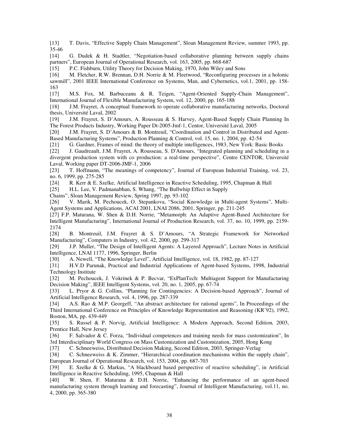[13] T. Davis, "Effective Supply Chain Management", Sloan Management Review, summer 1993, pp. 35-46

[14] G. Dudek & H. Stadtler, "Negotiation-based collaborative planning between supply chains partners", European Journal of Operational Research, vol. 163, 2005, pp. 668-687

[15] P.C. Fishburn, Utility Theory for Decision Making, 1970, John Wiley and Sons

[16] M. Fletcher, R.W. Brennan, D.H. Norrie & M. Fleetwood, "Reconfiguring processes in a holonic sawmill", 2001 IEEE International Conference on Systems, Man, and Cybernetics, vol.1, 2001, pp. 158-163

[17] M.S. Fox, M. Barbuceanu & R. Teigen, "Agent-Oriented Supply-Chain Management", International Journal of Flexible Manufacturing System, vol. 12, 2000, pp. 165-188

[18] J.M. Frayret, A conceptual framework to operate collaborative manufacturing networks, Doctoral thesis, Université Laval, 2002

[19] J.M. Frayret, S. D'Amours, A. Rousseau & S. Harvey, Agent-Based Supply Chain Planning In The Forest Products Industry, Working Paper Dt-2005-Jmf-1, Centor, Université Laval, 2005

[20] J.M. Frayret, S. D'Amours & B. Montreuil, "Coordination and Control in Distributed and Agent-Based Manufacturing Systems", Production Planning & Control, vol. 15, no. 1, 2004, pp. 42-54

[21] G. Gardner, Frames of mind: the theory of multiple intelligences, 1983, New York: Basic Books

[22] J. Gaudreault, J.M. Frayret, A. Rousseau, S. D'Amours, "Integrated planning and scheduling in a divergent production system with co production: a real-time perspective", Centre CENTOR, Université Laval, Working paper DT-2006-JMF-1, 2006

[23] T. Hoffmann, "The meanings of competency", Journal of European Industrial Training, vol. 23, no. 6, 1999, pp. 275-285

[24] R. Kerr & E. Szelke, Artificial Intelligence in Reactive Scheduling, 1995, Chapman & Hall

[25] H.L. Lee, V. Padmanabhan, S. Whang, "The Bullwhip Effect in Supply

Chains", Sloan Management Review, Spring 1997, pp. 93-102

[26] V. Marik, M. Pechoucek, O. Stepankova, "Social Knowledge in Multi-agent Systems", Multi-Agent Systems and Applications, ACAI 2001, LNAI 2086, 2001, Springer, pp. 211-245

[27] F.P. Maturana, W. Shen & D.H. Norrie, "Metamorph: An Adaptive Agent-Based Architecture for Intelligent Manufacturing", International Journal of Production Research, vol. 37, no. 10, 1999, pp. 2159- 2174

[28] B. Montreuil, J.M. Frayret & S. D'Amours, "A Strategic Framework for Networked Manufacturing", Computers in Industry, vol. 42, 2000, pp. 299-317

[29] J.P. Muller, "The Design of Intelligent Agents: A Layered Approach", Lecture Notes in Artificial Intelligence, LNAI 1177, 1996, Springer, Berlin

[30] A. Newell, "The Knowledge Level", Artificial Intelligence, vol. 18, 1982, pp. 87-127

[31] H.V.D Parunak, Practical and Industrial Applications of Agent-based Systems, 1998, Industrial Technology Institute

[32] M. Pechoucek, J. Vokrinek & P. Becvar, "ExPlanTech: Multiagent Support for Manufacturing Decision Making", IEEE Intelligent Systems, vol. 20, no. 1, 2005, pp. 67-74

[33] L. Pryor & G. Collins, "Planning for Contingencies: A Decision-based Approach", Journal of Artificial Intelligence Research, vol. 4, 1996, pp. 287-339

[34] A.S. Rao & M.P. Georgeff, "An abstract architecture for rational agents", In Proceedings of the Third International Conference on Principles of Knowledge Representation and Reasoning (KR'92), 1992, Boston, MA, pp. 439-449

[35] S. Russel & P. Norvig, Artificial Intelligence: A Modern Approach, Second Edition, 2003, Prentice Hall, New Jersey

[36] F. Salvador & C. Forza, "Individual competences and training needs for mass customization", In 3rd Interdisciplinary World Congress on Mass Customization and Customization, 2005, Hong Kong

[37] C. Schneeweiss, Distributed Decision Making, Second Edition, 2003, Springer-Verlag

[38] C. Schneeweiss & K. Zimmer, "Hierarchical coordination mechanisms within the supply chain", European Journal of Operational Research, vol. 153, 2004, pp. 687-703

[39] E. Szelke & G. Markus, "A blackboard based perspective of reactive scheduling", in Artificial Intelligence in Reactive Scheduling, 1995, Chapman & Hall

[40] W. Shen, F. Maturana & D.H. Norrie, "Enhancing the performance of an agent-based manufacturing system through learning and forecasting", Journal of Intelligent Manufacturing, vol.11, no. 4, 2000, pp. 365-380